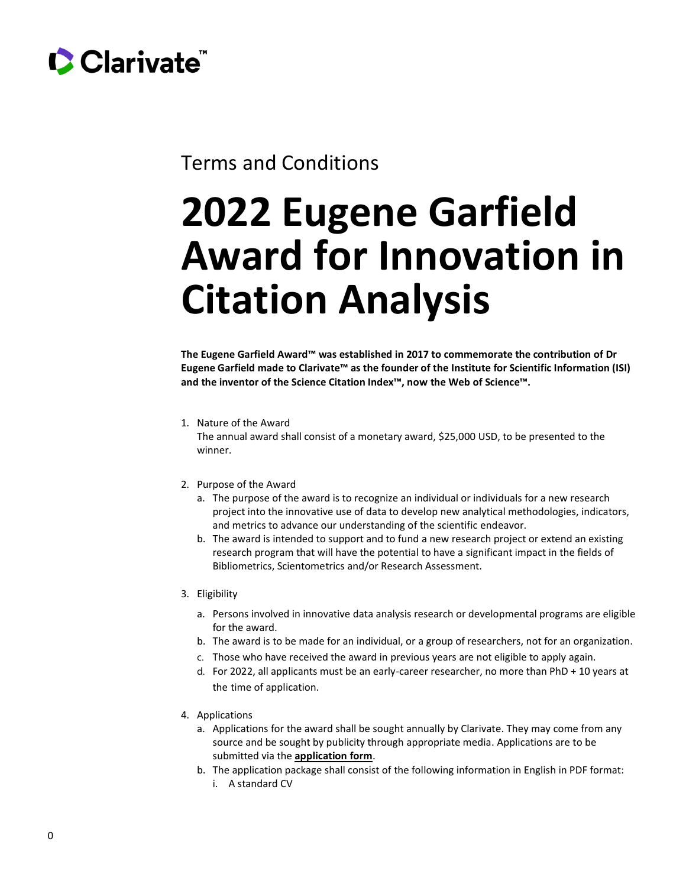

# Terms and Conditions

# **2022 Eugene Garfield Award for Innovation in Citation Analysis**

**The Eugene Garfield Award™ was established in 2017 to commemorate the contribution of Dr Eugene Garfield made to Clarivate™ as the founder of the Institute for Scientific Information (ISI) and the inventor of the Science Citation Index™, now the Web of Science™.**

## 1. Nature of the Award The annual award shall consist of a monetary award, \$25,000 USD, to be presented to the winner.

### 2. Purpose of the Award

- a. The purpose of the award is to recognize an individual or individuals for a new research project into the innovative use of data to develop new analytical methodologies, indicators, and metrics to advance our understanding of the scientific endeavor.
- b. The award is intended to support and to fund a new research project or extend an existing research program that will have the potential to have a significant impact in the fields of Bibliometrics, Scientometrics and/or Research Assessment.

### 3. Eligibility

- a. Persons involved in innovative data analysis research or developmental programs are eligible for the award.
- b. The award is to be made for an individual, or a group of researchers, not for an organization.
- c. Those who have received the award in previous years are not eligible to apply again.
- d. For 2022, all applicants must be an early-career researcher, no more than PhD + 10 years at the time of application.
- 4. Applications
	- a. Applications for the award shall be sought annually by Clarivate. They may come from any source and be sought by publicity through appropriate media. Applications are to be submitted via the **[application](https://www.surveymonkey.co.uk/r/GarfieldAwardApplication) form**.
	- b. The application package shall consist of the following information in English in PDF format:
		- i. A standard CV